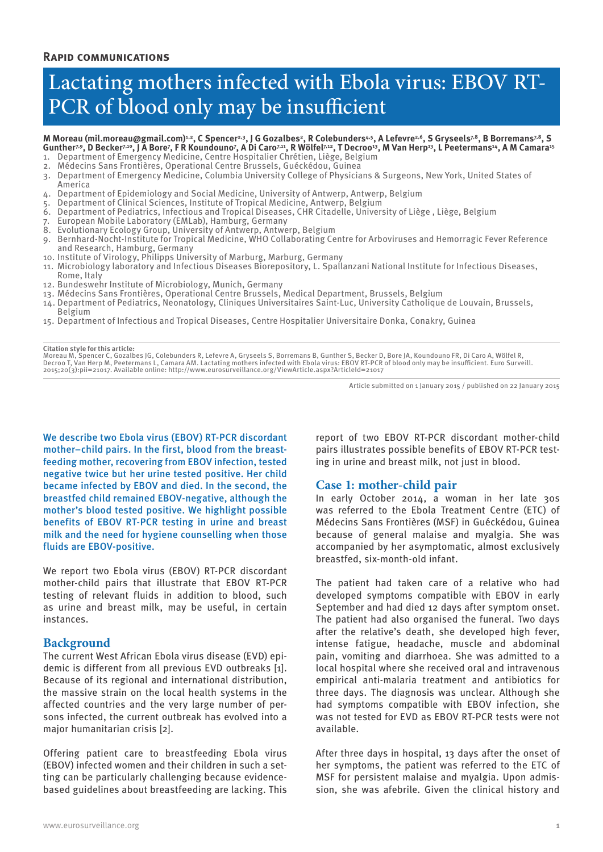# Lactating mothers infected with Ebola virus: EBOV RT-PCR of blood only may be insufficient

## M Moreau (mil.moreau@gmail.com)<sup>1,2</sup>, C Spencer<sup>2,3</sup>, J G Gozalbes<sup>2</sup>, R Colebunders<sup>4,5</sup>, A Lefevre<sup>2,6</sup>, S Gryseels<sup>7,8</sup>, B Borremans<sup>7,8</sup>, S Gunther<sup>7,9</sup>, D Becker<sup>7,10</sup>, J A Bore<sup>7</sup>, F R Koundouno<sup>7</sup>, A Di Caro<sup>7,11</sup>, R Wölfel<sup>7,12</sup>, T Decroo<sup>13</sup>, M Van Herp<sup>13</sup>, L Peetermans<sup>14</sup>, A M Camara<sup>15</sup>

- 1. Department of Emergency Medicine, Centre Hospitalier Chrétien, Liège, Belgium
- 2. Médecins Sans Frontières, Operational Centre Brussels, Guéckédou, Guinea
- 3. Department of Emergency Medicine, Columbia University College of Physicians & Surgeons, New York, United States of America
- 4. Department of Epidemiology and Social Medicine, University of Antwerp, Antwerp, Belgium
- 5. Department of Clinical Sciences, Institute of Tropical Medicine, Antwerp, Belgium
- 6. Department of Pediatrics, Infectious and Tropical Diseases, CHR Citadelle, University of Liège , Liège, Belgium
- 7. European Mobile Laboratory (EMLab), Hamburg, Germany
- 8. Evolutionary Ecology Group, University of Antwerp, Antwerp, Belgium
- 9. Bernhard-Nocht-Institute for Tropical Medicine, WHO Collaborating Centre for Arboviruses and Hemorragic Fever Reference and Research, Hamburg, Germany
- 10. Institute of Virology, Philipps University of Marburg, Marburg, Germany
- 11. Microbiology laboratory and Infectious Diseases Biorepository, L. Spallanzani National Institute for Infectious Diseases, Rome, Italy
- 12. Bundeswehr Institute of Microbiology, Munich, Germany
- 13. Médecins Sans Frontières, Operational Centre Brussels, Medical Department, Brussels, Belgium
- 14. Department of Pediatrics, Neonatology, Cliniques Universitaires Saint-Luc, University Catholique de Louvain, Brussels, Belgium
- 15. Department of Infectious and Tropical Diseases, Centre Hospitalier Universitaire Donka, Conakry, Guinea

## **Citation style for this article:**

Moreau M, Spencer C, Gozalbes JG, Colebunders R, Lefevre A, Gryseels S, Borremans B, Gunther S, Becker D, Bore JA, Koundouno FR, Di Caro A, Wölfel R,<br>Decroo T, Van Herp M, Peetermans L, Camara AM. Lactating mothers infecte 2015;20(3):pii=21017. Available online: http://www.eurosurveillance.org/ViewArticle.aspx?ArticleId=21017

Article submitted on 1 January 2015 / published on 22 January 2015

We describe two Ebola virus (EBOV) RT-PCR discordant mother–child pairs. In the first, blood from the breastfeeding mother, recovering from EBOV infection, tested negative twice but her urine tested positive. Her child became infected by EBOV and died. In the second, the breastfed child remained EBOV-negative, although the mother's blood tested positive. We highlight possible benefits of EBOV RT-PCR testing in urine and breast milk and the need for hygiene counselling when those fluids are EBOV-positive.

We report two Ebola virus (EBOV) RT-PCR discordant mother-child pairs that illustrate that EBOV RT-PCR testing of relevant fluids in addition to blood, such as urine and breast milk, may be useful, in certain instances.

## **Background**

The current West African Ebola virus disease (EVD) epidemic is different from all previous EVD outbreaks [1]. Because of its regional and international distribution, the massive strain on the local health systems in the affected countries and the very large number of persons infected, the current outbreak has evolved into a major humanitarian crisis [2].

Offering patient care to breastfeeding Ebola virus (EBOV) infected women and their children in such a setting can be particularly challenging because evidencebased guidelines about breastfeeding are lacking. This report of two EBOV RT-PCR discordant mother-child pairs illustrates possible benefits of EBOV RT-PCR testing in urine and breast milk, not just in blood.

## **Case 1: mother-child pair**

In early October 2014, a woman in her late 30s was referred to the Ebola Treatment Centre (ETC) of Médecins Sans Frontières (MSF) in Guéckédou, Guinea because of general malaise and myalgia. She was accompanied by her asymptomatic, almost exclusively breastfed, six-month-old infant.

The patient had taken care of a relative who had developed symptoms compatible with EBOV in early September and had died 12 days after symptom onset. The patient had also organised the funeral. Two days after the relative's death, she developed high fever, intense fatigue, headache, muscle and abdominal pain, vomiting and diarrhoea. She was admitted to a local hospital where she received oral and intravenous empirical anti-malaria treatment and antibiotics for three days. The diagnosis was unclear. Although she had symptoms compatible with EBOV infection, she was not tested for EVD as EBOV RT-PCR tests were not available.

After three days in hospital, 13 days after the onset of her symptoms, the patient was referred to the ETC of MSF for persistent malaise and myalgia. Upon admission, she was afebrile. Given the clinical history and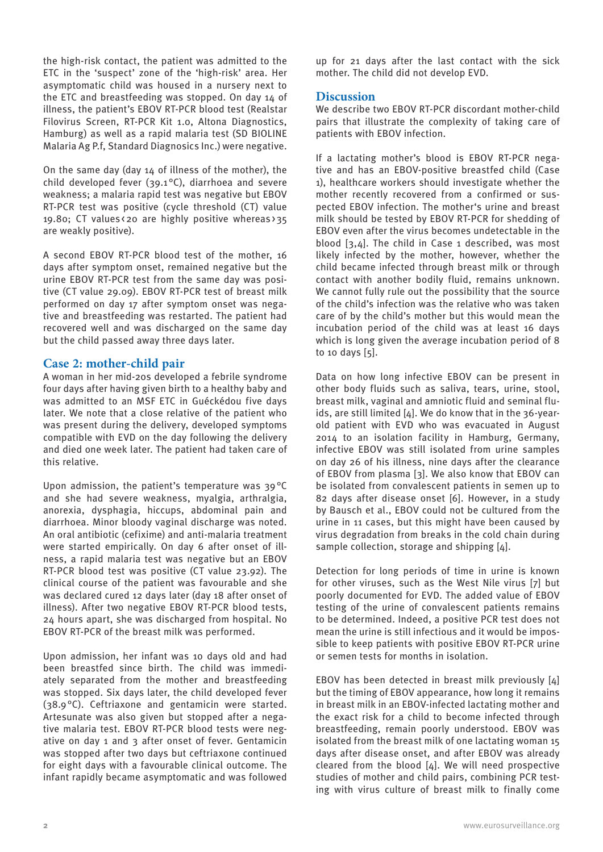the high-risk contact, the patient was admitted to the ETC in the 'suspect' zone of the 'high-risk' area. Her asymptomatic child was housed in a nursery next to the ETC and breastfeeding was stopped. On day 14 of illness, the patient's EBOV RT-PCR blood test (Realstar Filovirus Screen, RT-PCR Kit 1.0, Altona Diagnostics, Hamburg) as well as a rapid malaria test (SD BIOLINE Malaria Ag P.f, Standard Diagnosics Inc.) were negative.

On the same day (day 14 of illness of the mother), the child developed fever (39.1 °C), diarrhoea and severe weakness; a malaria rapid test was negative but EBOV RT-PCR test was positive (cycle threshold (CT) value 19.80; CT values < 20 are highly positive whereas > 35 are weakly positive).

A second EBOV RT-PCR blood test of the mother, 16 days after symptom onset, remained negative but the urine EBOV RT-PCR test from the same day was positive (CT value 29.09). EBOV RT-PCR test of breast milk performed on day 17 after symptom onset was negative and breastfeeding was restarted. The patient had recovered well and was discharged on the same day but the child passed away three days later.

# **Case 2: mother-child pair**

A woman in her mid-20s developed a febrile syndrome four days after having given birth to a healthy baby and was admitted to an MSF ETC in Guéckédou five days later. We note that a close relative of the patient who was present during the delivery, developed symptoms compatible with EVD on the day following the delivery and died one week later. The patient had taken care of this relative.

Upon admission, the patient's temperature was 39°C and she had severe weakness, myalgia, arthralgia, anorexia, dysphagia, hiccups, abdominal pain and diarrhoea. Minor bloody vaginal discharge was noted. An oral antibiotic (cefixime) and anti-malaria treatment were started empirically. On day 6 after onset of illness, a rapid malaria test was negative but an EBOV RT-PCR blood test was positive (CT value 23.92). The clinical course of the patient was favourable and she was declared cured 12 days later (day 18 after onset of illness). After two negative EBOV RT-PCR blood tests, 24 hours apart, she was discharged from hospital. No EBOV RT-PCR of the breast milk was performed.

Upon admission, her infant was 10 days old and had been breastfed since birth. The child was immediately separated from the mother and breastfeeding was stopped. Six days later, the child developed fever (38.9°C). Ceftriaxone and gentamicin were started. Artesunate was also given but stopped after a negative malaria test. EBOV RT-PCR blood tests were negative on day 1 and 3 after onset of fever. Gentamicin was stopped after two days but ceftriaxone continued for eight days with a favourable clinical outcome. The infant rapidly became asymptomatic and was followed

up for 21 days after the last contact with the sick mother. The child did not develop EVD.

## **Discussion**

We describe two EBOV RT-PCR discordant mother-child pairs that illustrate the complexity of taking care of patients with EBOV infection.

If a lactating mother's blood is EBOV RT-PCR negative and has an EBOV-positive breastfed child (Case 1), healthcare workers should investigate whether the mother recently recovered from a confirmed or suspected EBOV infection. The mother's urine and breast milk should be tested by EBOV RT-PCR for shedding of EBOV even after the virus becomes undetectable in the blood [3,4]. The child in Case 1 described, was most likely infected by the mother, however, whether the child became infected through breast milk or through contact with another bodily fluid, remains unknown. We cannot fully rule out the possibility that the source of the child's infection was the relative who was taken care of by the child's mother but this would mean the incubation period of the child was at least 16 days which is long given the average incubation period of 8 to 10 days [5].

Data on how long infective EBOV can be present in other body fluids such as saliva, tears, urine, stool, breast milk, vaginal and amniotic fluid and seminal fluids, are still limited [4]. We do know that in the 36-yearold patient with EVD who was evacuated in August 2014 to an isolation facility in Hamburg, Germany, infective EBOV was still isolated from urine samples on day 26 of his illness, nine days after the clearance of EBOV from plasma [3]. We also know that EBOV can be isolated from convalescent patients in semen up to 82 days after disease onset [6]. However, in a study by Bausch et al., EBOV could not be cultured from the urine in 11 cases, but this might have been caused by virus degradation from breaks in the cold chain during sample collection, storage and shipping [4].

Detection for long periods of time in urine is known for other viruses, such as the West Nile virus [7] but poorly documented for EVD. The added value of EBOV testing of the urine of convalescent patients remains to be determined. Indeed, a positive PCR test does not mean the urine is still infectious and it would be impossible to keep patients with positive EBOV RT-PCR urine or semen tests for months in isolation.

EBOV has been detected in breast milk previously [4] but the timing of EBOV appearance, how long it remains in breast milk in an EBOV-infected lactating mother and the exact risk for a child to become infected through breastfeeding, remain poorly understood. EBOV was isolated from the breast milk of one lactating woman 15 days after disease onset, and after EBOV was already cleared from the blood [4]. We will need prospective studies of mother and child pairs, combining PCR testing with virus culture of breast milk to finally come